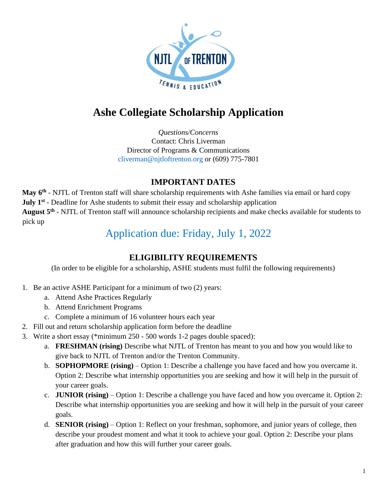

# **Ashe Collegiate Scholarship Application**

*Questions/Concerns* Contact: Chris Liverman Director of Programs & Communications [cliverman@njtloftrenton.org](mailto:cliverman@njtloftrenton.org) or (609) 775-7801

## **IMPORTANT DATES**

**May 6 th** - NJTL of Trenton staff will share scholarship requirements with Ashe families via email or hard copy **July 1<sup>st</sup>** - Deadline for Ashe students to submit their essay and scholarship application August 5<sup>th</sup> - NJTL of Trenton staff will announce scholarship recipients and make checks available for students to pick up

## Application due: Friday, July 1, 2022

## **ELIGIBILITY REQUIREMENTS**

(In order to be eligible for a scholarship, ASHE students must fulfil the following requirements)

- 1. Be an active ASHE Participant for a minimum of two (2) years:
	- a. Attend Ashe Practices Regularly
	- b. Attend Enrichment Programs
	- c. Complete a minimum of 16 volunteer hours each year
- 2. Fill out and return scholarship application form before the deadline
- 3. Write a short essay (\*minimum 250 500 words 1-2 pages double spaced):
	- a. **FRESHMAN (rising)** Describe what NJTL of Trenton has meant to you and how you would like to give back to NJTL of Trenton and/or the Trenton Community.
	- b. **SOPHOPMORE (rising)** Option 1: Describe a challenge you have faced and how you overcame it. Option 2: Describe what internship opportunities you are seeking and how it will help in the pursuit of your career goals.
	- c. **JUNIOR (rising)** Option 1: Describe a challenge you have faced and how you overcame it. Option 2: Describe what internship opportunities you are seeking and how it will help in the pursuit of your career goals.
	- d. **SENIOR (rising)** Option 1: Reflect on your freshman, sophomore, and junior years of college, then describe your proudest moment and what it took to achieve your goal. Option 2: Describe your plans after graduation and how this will further your career goals.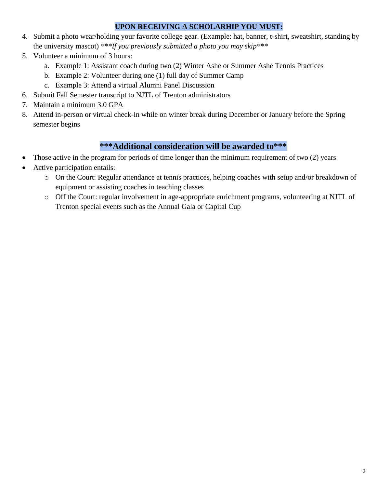#### **UPON RECEIVING A SCHOLARHIP YOU MUST:**

- 4. Submit a photo wear/holding your favorite college gear. (Example: hat, banner, t-shirt, sweatshirt, standing by the university mascot) *\*\*\*If you previously submitted a photo you may skip\*\*\**
- 5. Volunteer a minimum of 3 hours:
	- a. Example 1: Assistant coach during two (2) Winter Ashe or Summer Ashe Tennis Practices
	- b. Example 2: Volunteer during one (1) full day of Summer Camp
	- c. Example 3: Attend a virtual Alumni Panel Discussion
- 6. Submit Fall Semester transcript to NJTL of Trenton administrators
- 7. Maintain a minimum 3.0 GPA
- 8. Attend in-person or virtual check-in while on winter break during December or January before the Spring semester begins

### **\*\*\*Additional consideration will be awarded to\*\*\***

- Those active in the program for periods of time longer than the minimum requirement of two (2) years
- Active participation entails:
	- o On the Court: Regular attendance at tennis practices, helping coaches with setup and/or breakdown of equipment or assisting coaches in teaching classes
	- o Off the Court: regular involvement in age-appropriate enrichment programs, volunteering at NJTL of Trenton special events such as the Annual Gala or Capital Cup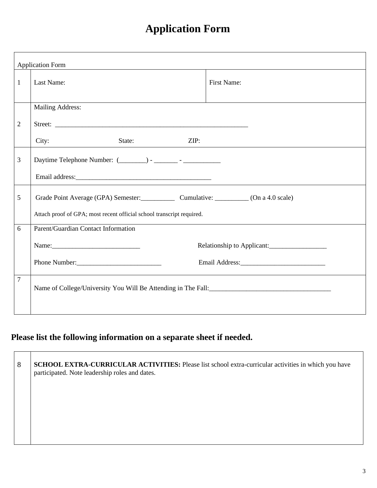# **Application Form**

| <b>Application Form</b> |                                                                                         |                         |  |  |
|-------------------------|-----------------------------------------------------------------------------------------|-------------------------|--|--|
| 1                       | Last Name:                                                                              | <b>First Name:</b>      |  |  |
|                         | Mailing Address:                                                                        |                         |  |  |
| $\overline{2}$          |                                                                                         |                         |  |  |
|                         | City:<br>ZIP:<br>State:                                                                 |                         |  |  |
| 3                       |                                                                                         |                         |  |  |
|                         |                                                                                         |                         |  |  |
| 5                       | Grade Point Average (GPA) Semester: Cumulative: Cumulative: Cumulative (On a 4.0 scale) |                         |  |  |
|                         | Attach proof of GPA; most recent official school transcript required.                   |                         |  |  |
| 6                       | Parent/Guardian Contact Information                                                     |                         |  |  |
|                         | Relationship to Applicant:                                                              |                         |  |  |
|                         | Phone Number:                                                                           | Email Address: No. 1996 |  |  |
| $\overline{7}$          | Name of College/University You Will Be Attending in The Fall:                           |                         |  |  |

## **Please list the following information on a separate sheet if needed.**

 $\Gamma$ 

| 8 | SCHOOL EXTRA-CURRICULAR ACTIVITIES: Please list school extra-curricular activities in which you have<br>participated. Note leadership roles and dates. |  |
|---|--------------------------------------------------------------------------------------------------------------------------------------------------------|--|
|   |                                                                                                                                                        |  |
|   |                                                                                                                                                        |  |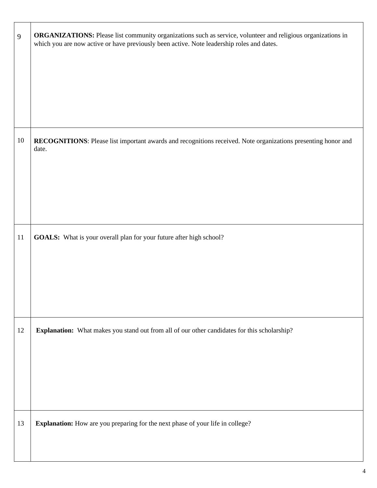| 9  | ORGANIZATIONS: Please list community organizations such as service, volunteer and religious organizations in<br>which you are now active or have previously been active. Note leadership roles and dates. |  |
|----|-----------------------------------------------------------------------------------------------------------------------------------------------------------------------------------------------------------|--|
|    |                                                                                                                                                                                                           |  |
|    |                                                                                                                                                                                                           |  |
| 10 | RECOGNITIONS: Please list important awards and recognitions received. Note organizations presenting honor and<br>date.                                                                                    |  |
|    |                                                                                                                                                                                                           |  |
|    |                                                                                                                                                                                                           |  |
| 11 | GOALS: What is your overall plan for your future after high school?                                                                                                                                       |  |
|    |                                                                                                                                                                                                           |  |
|    |                                                                                                                                                                                                           |  |
| 12 | Explanation: What makes you stand out from all of our other candidates for this scholarship?                                                                                                              |  |
|    |                                                                                                                                                                                                           |  |
|    |                                                                                                                                                                                                           |  |
| 13 | Explanation: How are you preparing for the next phase of your life in college?                                                                                                                            |  |
|    |                                                                                                                                                                                                           |  |